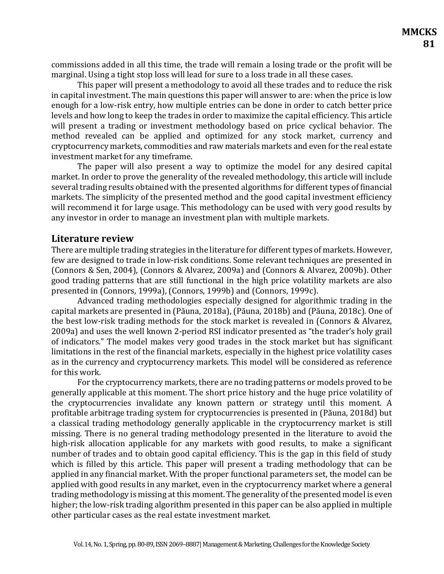commissions added in all this time, the trade will remain a losing trade or the profit will be marginal. Using a tight stop loss will lead for sure to a loss trade in all these cases.

This paper will present a methodology to avoid all these trades and to reduce the risk in capital investment. The main questions this paper will answer to are: when the price is low enough for a low-risk entry, how multiple entries can be done in order to catch better price levels and how long to keep the trades in order to maximize the capital efficiency. This article will present a trading or investment methodology based on price cyclical behavior. The method revealed can be applied and optimized for any stock market, currency and cryptocurrency markets, commodities and raw materials markets and even for the real estate investment market for any timeframe.

The paper will also present a way to optimize the model for any desired capital market. In order to prove the generality of the revealed methodology, this article will include several trading results obtained with the presented algorithms for different types of financial markets. The simplicity of the presented method and the good capital investment efficiency will recommend it for large usage. This methodology can be used with very good results by any investor in order to manage an investment plan with multiple markets.

### **Literature review**

There are multiple trading strategies in the literature for different types of markets. However, few are designed to trade in low-risk conditions. Some relevant techniques are presented in (Connors & Sen, 2004), (Connors & Alvarez, 2009a) and (Connors & Alvarez, 2009b). Other good trading patterns that are still functional in the high price volatility markets are also presented in (Connors, 1999a), (Connors, 1999b) and (Connors, 1999c).

Advanced trading methodologies especially designed for algorithmic trading in the capital markets are presented in (Păuna, 2018a), (Păuna, 2018b) and (Păuna, 2018c). One of the best low-risk trading methods for the stock market is revealed in (Connors & Alvarez, 2009a) and uses the well known 2-period RSI indicator presented as "the trader's holy grail of indicators." The model makes very good trades in the stock market but has significant limitations in the rest of the financial markets, especially in the highest price volatility cases as in the currency and cryptocurrency markets. This model will be considered as reference for this work.

For the cryptocurrency markets, there are no trading patterns or models proved to be generally applicable at this moment. The short price history and the huge price volatility of the cryptocurrencies invalidate any known pattern or strategy until this moment. A profitable arbitrage trading system for cryptocurrencies is presented in (Păuna, 2018d) but a classical trading methodology generally applicable in the cryptocurrency market is still missing. There is no general trading methodology presented in the literature to avoid the high-risk allocation applicable for any markets with good results, to make a significant number of trades and to obtain good capital efficiency. This is the gap in this field of study which is filled by this article. This paper will present a trading methodology that can be applied in any financial market. With the proper functional parameters set, the model can be applied with good results in any market, even in the cryptocurrency market where a general trading methodology is missing at this moment. The generality of the presented model is even higher; the low-risk trading algorithm presented in this paper can be also applied in multiple other particular cases as the real estate investment market.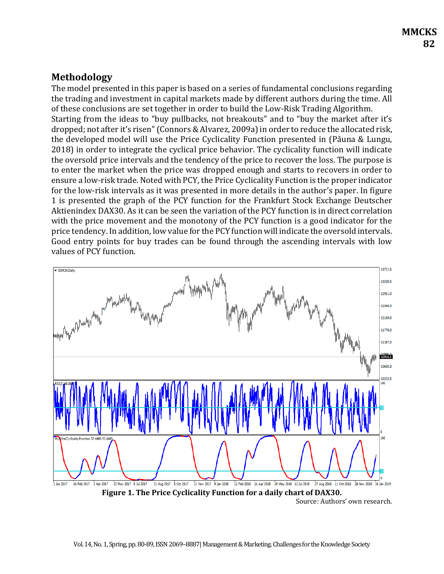# **Methodology**

The model presented in this paper is based on a series of fundamental conclusions regarding the trading and investment in capital markets made by different authors during the time. All of these conclusions are set together in order to build the Low-Risk Trading Algorithm. Starting from the ideas to "buy pullbacks, not breakouts" and to "buy the market after it's dropped; not after it's risen" (Connors & Alvarez, 2009a) in order to reduce the allocated risk, the developed model will use the Price Cyclicality Function presented in (Păuna & Lungu, 2018) in order to integrate the cyclical price behavior. The cyclicality function will indicate the oversold price intervals and the tendency of the price to recover the loss. The purpose is to enter the market when the price was dropped enough and starts to recovers in order to ensure a low-risk trade. Noted with PCY, the Price Cyclicality Function is the proper indicator for the low-risk intervals as it was presented in more details in the author's paper. In figure 1 is presented the graph of the PCY function for the Frankfurt Stock Exchange Deutscher Aktienindex DAX30. As it can be seen the variation of the PCY function is in direct correlation with the price movement and the monotony of the PCY function is a good indicator for the price tendency. In addition, low value for the PCY function will indicate the oversold intervals. Good entry points for buy trades can be found through the ascending intervals with low values of PCY function.

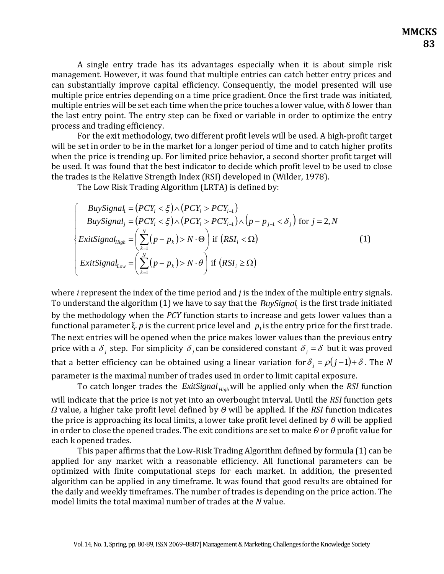A single entry trade has its advantages especially when it is about simple risk management. However, it was found that multiple entries can catch better entry prices and can substantially improve capital efficiency. Consequently, the model presented will use multiple price entries depending on a time price gradient. Once the first trade was initiated, multiple entries will be set each time when the price touches a lower value, with δ lower than the last entry point. The entry step can be fixed or variable in order to optimize the entry process and trading efficiency.

For the exit methodology, two different profit levels will be used. A high-profit target will be set in order to be in the market for a longer period of time and to catch higher profits when the price is trending up. For limited price behavior, a second shorter profit target will be used. It was found that the best indicator to decide which profit level to be used to close the trades is the Relative Strength Index (RSI) developed in (Wilder, 1978).

The Low Risk Trading Algorithm (LRTA) is defined by:

$$
\begin{cases}\nBuySignal_1 = (PCY_i < \xi) \land (PCY_i > PCY_{i-1}) \\
BuySignal_j = (PCY_i < \xi) \land (PCY_i > PCY_{i-1}) \land (p - p_{j-1} < \delta_j) \text{ for } j = \overline{2, N} \\
Exitsignal_{High} = \left(\sum_{k=1}^{N} (p - p_k) > N \cdot \Theta\right) \text{ if } (RSI_i < \Omega) \\
Exitsignal_{Low} = \left(\sum_{k=1}^{N} (p - p_k) > N \cdot \Theta\right) \text{ if } (RSI_i \geq \Omega)\n\end{cases} \tag{1}
$$

where *i* represent the index of the time period and *j* is the index of the multiple entry signals. To understand the algorithm (1) we have to say that the  $\mathit{BuySignal}_1$  is the first trade initiated by the methodology when the *PCY* function starts to increase and gets lower values than a functional parameter ξ.  $p$  is the current price level and  $|p_{1}$  is the entry price for the first trade. The next entries will be opened when the price makes lower values than the previous entry price with a  $\delta_j$  step. For simplicity  $\delta_j$  can be considered constant  $\delta_j = \delta$  but it was proved that a better efficiency can be obtained using a linear variation for  $\delta^{}_{j} = \rho(j\!-\!1)\!+\!\delta$  . The  $N$ parameter is the maximal number of trades used in order to limit capital exposure.

To catch longer trades the *ExitSignal*<sub>High</sub> will be applied only when the *RSI* function will indicate that the price is not yet into an overbought interval. Until the *RSI* function gets *Ω* value, a higher take profit level defined by *Θ* will be applied. If the *RSI* function indicates the price is approaching its local limits, a lower take profit level defined by *θ* will be applied in order to close the opened trades. The exit conditions are set to make *Θ* or *θ* profit value for each k opened trades.

This paper affirms that the Low-Risk Trading Algorithm defined by formula (1) can be applied for any market with a reasonable efficiency. All functional parameters can be optimized with finite computational steps for each market. In addition, the presented algorithm can be applied in any timeframe. It was found that good results are obtained for the daily and weekly timeframes. The number of trades is depending on the price action. The model limits the total maximal number of trades at the *N* value.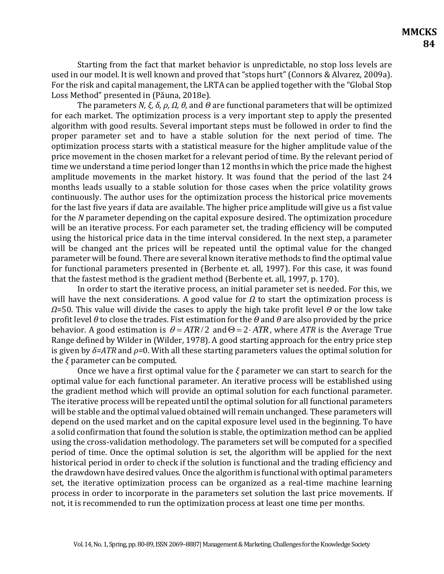Starting from the fact that market behavior is unpredictable, no stop loss levels are used in our model. It is well known and proved that "stops hurt" (Connors & Alvarez, 2009a). For the risk and capital management, the LRTA can be applied together with the "Global Stop Loss Method" presented in (Păuna, 2018e).

The parameters *N, ξ, δ, ρ, Ω, θ,* and *Θ* are functional parameters that will be optimized for each market. The optimization process is a very important step to apply the presented algorithm with good results. Several important steps must be followed in order to find the proper parameter set and to have a stable solution for the next period of time. The optimization process starts with a statistical measure for the higher amplitude value of the price movement in the chosen market for a relevant period of time. By the relevant period of time we understand a time period longer than 12 months in which the price made the highest amplitude movements in the market history. It was found that the period of the last 24 months leads usually to a stable solution for those cases when the price volatility grows continuously. The author uses for the optimization process the historical price movements for the last five years if data are available. The higher price amplitude will give us a fist value for the *N* parameter depending on the capital exposure desired. The optimization procedure will be an iterative process. For each parameter set, the trading efficiency will be computed using the historical price data in the time interval considered. In the next step, a parameter will be changed ant the prices will be repeated until the optimal value for the changed parameter will be found. There are several known iterative methods to find the optimal value for functional parameters presented in (Berbente et. all, 1997). For this case, it was found that the fastest method is the gradient method (Berbente et. all, 1997, p. 170).

In order to start the iterative process, an initial parameter set is needed. For this, we will have the next considerations. A good value for *Ω* to start the optimization process is *Ω*=50. This value will divide the cases to apply the high take profit level *Θ* or the low take profit level *θ* to close the trades. Fist estimation for the *Θ* and *θ* are also provided by the price behavior. A good estimation is  $\theta = ATR/2$  and  $\Theta = 2 \cdot ATR$ , where ATR is the Average True Range defined by Wilder in (Wilder, 1978). A good starting approach for the entry price step is given by *δ=ATR* and *ρ=*0. With all these starting parameters values the optimal solution for the *ξ* parameter can be computed.

Once we have a first optimal value for the *ξ* parameter we can start to search for the optimal value for each functional parameter. An iterative process will be established using the gradient method which will provide an optimal solution for each functional parameter. The iterative process will be repeated until the optimal solution for all functional parameters will be stable and the optimal valued obtained will remain unchanged. These parameters will depend on the used market and on the capital exposure level used in the beginning. To have a solid confirmation that found the solution is stable, the optimization method can be applied using the cross-validation methodology. The parameters set will be computed for a specified period of time. Once the optimal solution is set, the algorithm will be applied for the next historical period in order to check if the solution is functional and the trading efficiency and the drawdown have desired values. Once the algorithm is functional with optimal parameters set, the iterative optimization process can be organized as a real-time machine learning process in order to incorporate in the parameters set solution the last price movements. If not, it is recommended to run the optimization process at least one time per months.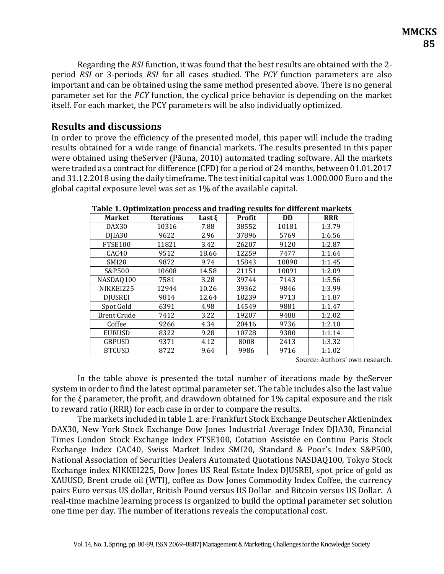Regarding the *RSI* function, it was found that the best results are obtained with the 2 period *RSI* or 3-periods *RSI* for all cases studied. The *PCY* function parameters are also important and can be obtained using the same method presented above. There is no general parameter set for the *PCY* function, the cyclical price behavior is depending on the market itself. For each market, the PCY parameters will be also individually optimized.

## **Results and discussions**

In order to prove the efficiency of the presented model, this paper will include the trading results obtained for a wide range of financial markets. The results presented in this paper were obtained using theServer (Păuna, 2010) automated trading software. All the markets were traded as a contract for difference (CFD) for a period of 24 months, between 01.01.2017 and 31.12.2018 using the daily timeframe. The test initial capital was 1.000.000 Euro and the global capital exposure level was set as 1% of the available capital.

| <b>Market</b>      | <b>Iterations</b> | Last $\xi$ | Profit | <b>DD</b> | <b>RRR</b> |
|--------------------|-------------------|------------|--------|-----------|------------|
| DAX30              | 10316             | 7.88       | 38552  | 10181     | 1:3.79     |
| DJIA30             | 9622              | 2.96       | 37896  | 5769      | 1:6.56     |
| FTSE100            | 11821             | 3.42       | 26207  | 9120      | 1:2.87     |
| CAC <sub>40</sub>  | 9512              | 18.66      | 12259  | 7477      | 1:1.64     |
| <b>SMI20</b>       | 9872              | 9.74       | 15843  | 10890     | 1:1.45     |
| S&P500             | 10608             | 14.58      | 21151  | 10091     | 1:2.09     |
| NASDAQ100          | 7581              | 3.28       | 39744  | 7143      | 1:5.56     |
| NIKKEI225          | 12944             | 10.26      | 39362  | 9846      | 1:3.99     |
| <b>DJUSREI</b>     | 9814              | 12.64      | 18239  | 9713      | 1:1.87     |
| Spot Gold          | 6391              | 4.98       | 14549  | 9881      | 1:1.47     |
| <b>Brent Crude</b> | 7412              | 3.22       | 19207  | 9488      | 1:2.02     |
| Coffee             | 9266              | 4.34       | 20416  | 9736      | 1:2.10     |
| <b>EURUSD</b>      | 8322              | 9.28       | 10728  | 9380      | 1:1.14     |
| <b>GBPUSD</b>      | 9371              | 4.12       | 8008   | 2413      | 1:3.32     |
| <b>BTCUSD</b>      | 8722              | 9.64       | 9986   | 9716      | 1:1.02     |

**Table 1. Optimization process and trading results for different markets**

Source: Authors' own research.

In the table above is presented the total number of iterations made by theServer system in order to find the latest optimal parameter set. The table includes also the last value for the *ξ* parameter, the profit, and drawdown obtained for 1% capital exposure and the risk to reward ratio (RRR) for each case in order to compare the results.

The markets included in table 1. are: Frankfurt Stock Exchange Deutscher Aktienindex DAX30, New York Stock Exchange Dow Jones Industrial Average Index DJIA30, Financial Times London Stock Exchange Index FTSE100, Cotation Assistée en Continu Paris Stock Exchange Index CAC40, Swiss Market Index SMI20, Standard & Poor's Index S&P500, National Association of Securities Dealers Automated Quotations NASDAQ100, Tokyo Stock Exchange index NIKKEI225, Dow Jones US Real Estate Index DJUSREI, spot price of gold as XAUUSD, Brent crude oil (WTI), coffee as Dow Jones Commodity Index Coffee, the currency pairs Euro versus US dollar, British Pound versus US Dollar and Bitcoin versus US Dollar. A real-time machine learning process is organized to build the optimal parameter set solution one time per day. The number of iterations reveals the computational cost.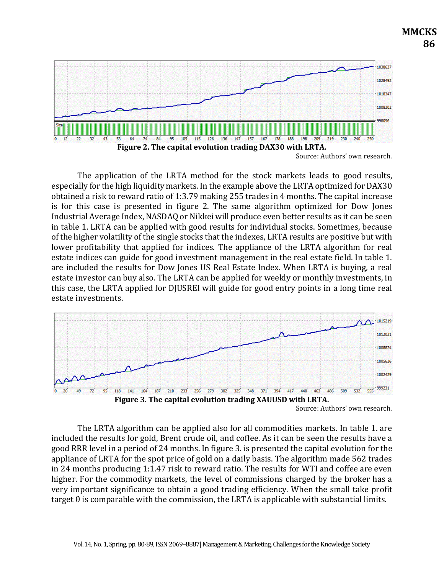

Source: Authors' own research.

**MMCKS**

 **86**

The application of the LRTA method for the stock markets leads to good results, especially for the high liquidity markets. In the example above the LRTA optimized for DAX30 obtained a risk to reward ratio of 1:3.79 making 255 trades in 4 months. The capital increase is for this case is presented in figure 2. The same algorithm optimized for Dow Jones Industrial Average Index, NASDAQ or Nikkei will produce even better results as it can be seen in table 1. LRTA can be applied with good results for individual stocks. Sometimes, because of the higher volatility of the single stocks that the indexes, LRTA results are positive but with lower profitability that applied for indices. The appliance of the LRTA algorithm for real estate indices can guide for good investment management in the real estate field. In table 1. are included the results for Dow Jones US Real Estate Index. When LRTA is buying, a real estate investor can buy also. The LRTA can be applied for weekly or monthly investments, in this case, the LRTA applied for DJUSREI will guide for good entry points in a long time real estate investments.



The LRTA algorithm can be applied also for all commodities markets. In table 1. are included the results for gold, Brent crude oil, and coffee. As it can be seen the results have a good RRR level in a period of 24 months. In figure 3. is presented the capital evolution for the appliance of LRTA for the spot price of gold on a daily basis. The algorithm made 562 trades in 24 months producing 1:1.47 risk to reward ratio. The results for WTI and coffee are even higher. For the commodity markets, the level of commissions charged by the broker has a very important significance to obtain a good trading efficiency. When the small take profit  $target \theta$  is comparable with the commission, the LRTA is applicable with substantial limits.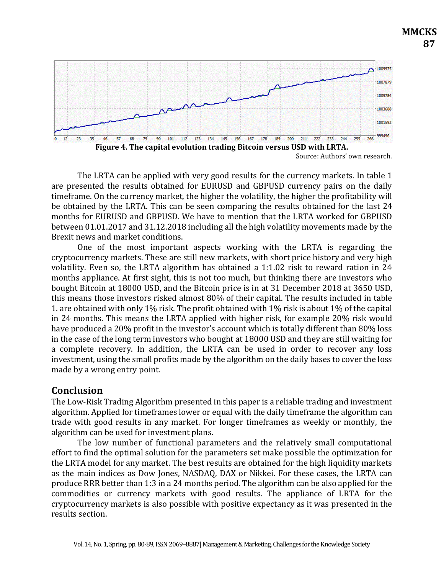

Source: Authors' own research.

**MMCKS**

 **87**

The LRTA can be applied with very good results for the currency markets. In table 1 are presented the results obtained for EURUSD and GBPUSD currency pairs on the daily timeframe. On the currency market, the higher the volatility, the higher the profitability will be obtained by the LRTA. This can be seen comparing the results obtained for the last 24 months for EURUSD and GBPUSD. We have to mention that the LRTA worked for GBPUSD between 01.01.2017 and 31.12.2018 including all the high volatility movements made by the Brexit news and market conditions.

One of the most important aspects working with the LRTA is regarding the cryptocurrency markets. These are still new markets, with short price history and very high volatility. Even so, the LRTA algorithm has obtained a 1:1.02 risk to reward ration in 24 months appliance. At first sight, this is not too much, but thinking there are investors who bought Bitcoin at 18000 USD, and the Bitcoin price is in at 31 December 2018 at 3650 USD, this means those investors risked almost 80% of their capital. The results included in table 1. are obtained with only 1% risk. The profit obtained with 1% risk is about 1% of the capital in 24 months. This means the LRTA applied with higher risk, for example 20% risk would have produced a 20% profit in the investor's account which is totally different than 80% loss in the case of the long term investors who bought at 18000 USD and they are still waiting for a complete recovery. In addition, the LRTA can be used in order to recover any loss investment, using the small profits made by the algorithm on the daily bases to cover the loss made by a wrong entry point.

### **Conclusion**

The Low-Risk Trading Algorithm presented in this paper is a reliable trading and investment algorithm. Applied for timeframes lower or equal with the daily timeframe the algorithm can trade with good results in any market. For longer timeframes as weekly or monthly, the algorithm can be used for investment plans.

The low number of functional parameters and the relatively small computational effort to find the optimal solution for the parameters set make possible the optimization for the LRTA model for any market. The best results are obtained for the high liquidity markets as the main indices as Dow Jones, NASDAQ, DAX or Nikkei. For these cases, the LRTA can produce RRR better than 1:3 in a 24 months period. The algorithm can be also applied for the commodities or currency markets with good results. The appliance of LRTA for the cryptocurrency markets is also possible with positive expectancy as it was presented in the results section.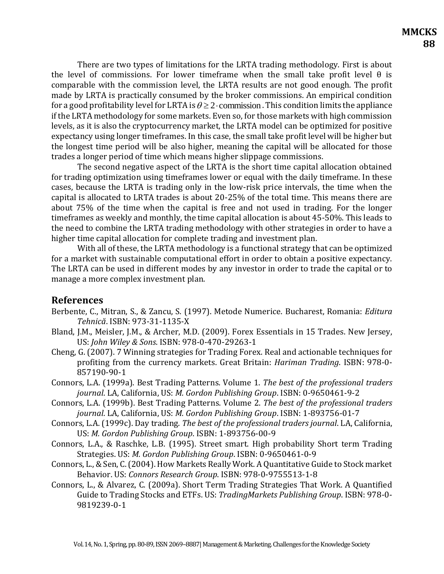There are two types of limitations for the LRTA trading methodology. First is about the level of commissions. For lower timeframe when the small take profit level  $\theta$  is comparable with the commission level, the LRTA results are not good enough. The profit made by LRTA is practically consumed by the broker commissions. An empirical condition for a good profitability level for LRTA is  $\theta \geq 2$  commission . This condition limits the appliance if the LRTA methodology for some markets. Even so, for those markets with high commission levels, as it is also the cryptocurrency market, the LRTA model can be optimized for positive expectancy using longer timeframes. In this case, the small take profit level will be higher but the longest time period will be also higher, meaning the capital will be allocated for those trades a longer period of time which means higher slippage commissions.

The second negative aspect of the LRTA is the short time capital allocation obtained for trading optimization using timeframes lower or equal with the daily timeframe. In these cases, because the LRTA is trading only in the low-risk price intervals, the time when the capital is allocated to LRTA trades is about 20-25% of the total time. This means there are about 75% of the time when the capital is free and not used in trading. For the longer timeframes as weekly and monthly, the time capital allocation is about 45-50%. This leads to the need to combine the LRTA trading methodology with other strategies in order to have a higher time capital allocation for complete trading and investment plan.

With all of these, the LRTA methodology is a functional strategy that can be optimized for a market with sustainable computational effort in order to obtain a positive expectancy. The LRTA can be used in different modes by any investor in order to trade the capital or to manage a more complex investment plan.

#### **References**

- Berbente, C., Mitran, S., & Zancu, S. (1997). Metode Numerice. Bucharest, Romania: *Editura Tehnică*. ISBN: 973-31-1135-X
- Bland, J.M., Meisler, J.M., & Archer, M.D. (2009). Forex Essentials in 15 Trades. New Jersey, US: *John Wiley & Sons*. ISBN: 978-0-470-29263-1
- Cheng, G. (2007). 7 Winning strategies for Trading Forex. Real and actionable techniques for profiting from the currency markets. Great Britain: *Hariman Trading*. ISBN: 978-0- 857190-90-1
- Connors, L.A. (1999a). Best Trading Patterns. Volume 1. *The best of the professional traders journal*. LA, California, US: *M. Gordon Publishing Group*. ISBN: 0-9650461-9-2
- Connors, L.A. (1999b). Best Trading Patterns. Volume 2. *The best of the professional traders journal*. LA, California, US: *M. Gordon Publishing Group*. ISBN: 1-893756-01-7
- Connors, L.A. (1999c). Day trading. *The best of the professional traders journal*. LA, California, US: *M. Gordon Publishing Group*. ISBN: 1-893756-00-9
- Connors, L.A., & Raschke, L.B. (1995). Street smart. High probability Short term Trading Strategies. US: *M. Gordon Publishing Group*. ISBN: 0-9650461-0-9
- Connors, L., & Sen, C. (2004). How Markets Really Work. A Quantitative Guide to Stock market Behavior. US: *Connors Research Group*. ISBN: 978-0-9755513-1-8
- Connors, L., & Alvarez, C. (2009a). Short Term Trading Strategies That Work. A Quantified Guide to Trading Stocks and ETFs. US: *TradingMarkets Publishing Group*. ISBN: 978-0- 9819239-0-1